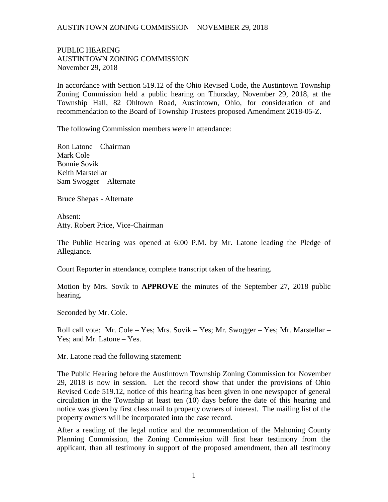## AUSTINTOWN ZONING COMMISSION – NOVEMBER 29, 2018

PUBLIC HEARING AUSTINTOWN ZONING COMMISSION November 29, 2018

In accordance with Section 519.12 of the Ohio Revised Code, the Austintown Township Zoning Commission held a public hearing on Thursday, November 29, 2018, at the Township Hall, 82 Ohltown Road, Austintown, Ohio, for consideration of and recommendation to the Board of Township Trustees proposed Amendment 2018-05-Z.

The following Commission members were in attendance:

Ron Latone – Chairman Mark Cole Bonnie Sovik Keith Marstellar Sam Swogger – Alternate

Bruce Shepas - Alternate

Absent: Atty. Robert Price, Vice-Chairman

The Public Hearing was opened at 6:00 P.M. by Mr. Latone leading the Pledge of Allegiance.

Court Reporter in attendance, complete transcript taken of the hearing.

Motion by Mrs. Sovik to **APPROVE** the minutes of the September 27, 2018 public hearing.

Seconded by Mr. Cole.

Roll call vote: Mr. Cole – Yes; Mrs. Sovik – Yes; Mr. Swogger – Yes; Mr. Marstellar – Yes; and Mr. Latone – Yes.

Mr. Latone read the following statement:

The Public Hearing before the Austintown Township Zoning Commission for November 29, 2018 is now in session. Let the record show that under the provisions of Ohio Revised Code 519.12, notice of this hearing has been given in one newspaper of general circulation in the Township at least ten (10) days before the date of this hearing and notice was given by first class mail to property owners of interest. The mailing list of the property owners will be incorporated into the case record.

After a reading of the legal notice and the recommendation of the Mahoning County Planning Commission, the Zoning Commission will first hear testimony from the applicant, than all testimony in support of the proposed amendment, then all testimony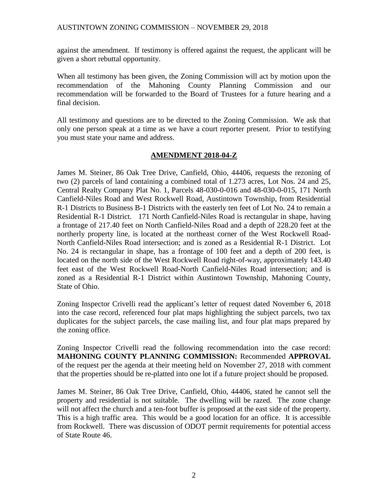against the amendment. If testimony is offered against the request, the applicant will be given a short rebuttal opportunity.

When all testimony has been given, the Zoning Commission will act by motion upon the recommendation of the Mahoning County Planning Commission and our recommendation will be forwarded to the Board of Trustees for a future hearing and a final decision.

All testimony and questions are to be directed to the Zoning Commission. We ask that only one person speak at a time as we have a court reporter present. Prior to testifying you must state your name and address.

## **AMENDMENT 2018-04-Z**

James M. Steiner, 86 Oak Tree Drive, Canfield, Ohio, 44406, requests the rezoning of two (2) parcels of land containing a combined total of 1.273 acres, Lot Nos. 24 and 25, Central Realty Company Plat No. 1, Parcels 48-030-0-016 and 48-030-0-015, 171 North Canfield-Niles Road and West Rockwell Road, Austintown Township, from Residential R-1 Districts to Business B-1 Districts with the easterly ten feet of Lot No. 24 to remain a Residential R-1 District. 171 North Canfield-Niles Road is rectangular in shape, having a frontage of 217.40 feet on North Canfield-Niles Road and a depth of 228.20 feet at the northerly property line, is located at the northeast corner of the West Rockwell Road-North Canfield-Niles Road intersection; and is zoned as a Residential R-1 District. Lot No. 24 is rectangular in shape, has a frontage of 100 feet and a depth of 200 feet, is located on the north side of the West Rockwell Road right-of-way, approximately 143.40 feet east of the West Rockwell Road-North Canfield-Niles Road intersection; and is zoned as a Residential R-1 District within Austintown Township, Mahoning County, State of Ohio.

Zoning Inspector Crivelli read the applicant's letter of request dated November 6, 2018 into the case record, referenced four plat maps highlighting the subject parcels, two tax duplicates for the subject parcels, the case mailing list, and four plat maps prepared by the zoning office.

Zoning Inspector Crivelli read the following recommendation into the case record: **MAHONING COUNTY PLANNING COMMISSION:** Recommended **APPROVAL** of the request per the agenda at their meeting held on November 27, 2018 with comment that the properties should be re-platted into one lot if a future project should be proposed.

James M. Steiner, 86 Oak Tree Drive, Canfield, Ohio, 44406, stated he cannot sell the property and residential is not suitable. The dwelling will be razed. The zone change will not affect the church and a ten-foot buffer is proposed at the east side of the property. This is a high traffic area. This would be a good location for an office. It is accessible from Rockwell. There was discussion of ODOT permit requirements for potential access of State Route 46.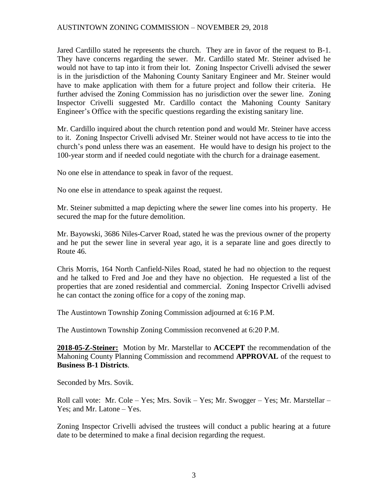## AUSTINTOWN ZONING COMMISSION – NOVEMBER 29, 2018

Jared Cardillo stated he represents the church. They are in favor of the request to B-1. They have concerns regarding the sewer. Mr. Cardillo stated Mr. Steiner advised he would not have to tap into it from their lot. Zoning Inspector Crivelli advised the sewer is in the jurisdiction of the Mahoning County Sanitary Engineer and Mr. Steiner would have to make application with them for a future project and follow their criteria. He further advised the Zoning Commission has no jurisdiction over the sewer line. Zoning Inspector Crivelli suggested Mr. Cardillo contact the Mahoning County Sanitary Engineer's Office with the specific questions regarding the existing sanitary line.

Mr. Cardillo inquired about the church retention pond and would Mr. Steiner have access to it. Zoning Inspector Crivelli advised Mr. Steiner would not have access to tie into the church's pond unless there was an easement. He would have to design his project to the 100-year storm and if needed could negotiate with the church for a drainage easement.

No one else in attendance to speak in favor of the request.

No one else in attendance to speak against the request.

Mr. Steiner submitted a map depicting where the sewer line comes into his property. He secured the map for the future demolition.

Mr. Bayowski, 3686 Niles-Carver Road, stated he was the previous owner of the property and he put the sewer line in several year ago, it is a separate line and goes directly to Route 46.

Chris Morris, 164 North Canfield-Niles Road, stated he had no objection to the request and he talked to Fred and Joe and they have no objection. He requested a list of the properties that are zoned residential and commercial. Zoning Inspector Crivelli advised he can contact the zoning office for a copy of the zoning map.

The Austintown Township Zoning Commission adjourned at 6:16 P.M.

The Austintown Township Zoning Commission reconvened at 6:20 P.M.

**2018-05-Z-Steiner:** Motion by Mr. Marstellar to **ACCEPT** the recommendation of the Mahoning County Planning Commission and recommend **APPROVAL** of the request to **Business B-1 Districts**.

Seconded by Mrs. Sovik.

Roll call vote: Mr. Cole – Yes; Mrs. Sovik – Yes; Mr. Swogger – Yes; Mr. Marstellar – Yes; and Mr. Latone – Yes.

Zoning Inspector Crivelli advised the trustees will conduct a public hearing at a future date to be determined to make a final decision regarding the request.